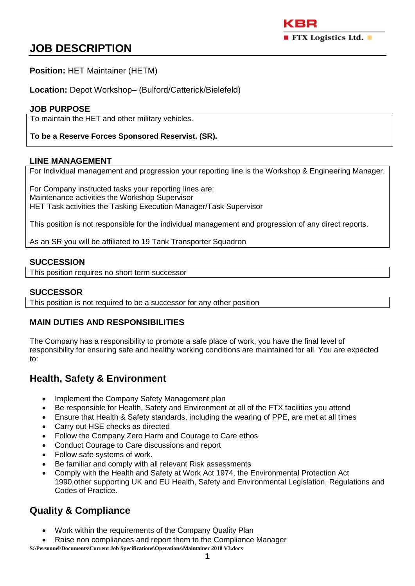# **JOB DESCRIPTION**

### **Position:** HET Maintainer (HETM)

**Location:** Depot Workshop– (Bulford/Catterick/Bielefeld)

### **JOB PURPOSE**

To maintain the HET and other military vehicles.

### **To be a Reserve Forces Sponsored Reservist. (SR).**

#### **LINE MANAGEMENT**

For Individual management and progression your reporting line is the Workshop & Engineering Manager.

For Company instructed tasks your reporting lines are: Maintenance activities the Workshop Supervisor HET Task activities the Tasking Execution Manager/Task Supervisor

This position is not responsible for the individual management and progression of any direct reports.

As an SR you will be affiliated to 19 Tank Transporter Squadron

#### **SUCCESSION**

This position requires no short term successor

### **SUCCESSOR**

This position is not required to be a successor for any other position

### **MAIN DUTIES AND RESPONSIBILITIES**

The Company has a responsibility to promote a safe place of work, you have the final level of responsibility for ensuring safe and healthy working conditions are maintained for all. You are expected to:

### **Health, Safety & Environment**

- Implement the Company Safety Management plan
- Be responsible for Health, Safety and Environment at all of the FTX facilities you attend
- Ensure that Health & Safety standards, including the wearing of PPE, are met at all times
- Carry out HSE checks as directed
- Follow the Company Zero Harm and Courage to Care ethos
- Conduct Courage to Care discussions and report
- Follow safe systems of work.
- Be familiar and comply with all relevant Risk assessments
- Comply with the Health and Safety at Work Act 1974, the Environmental Protection Act 1990,other supporting UK and EU Health, Safety and Environmental Legislation, Regulations and Codes of Practice.

# **Quality & Compliance**

- Work within the requirements of the Company Quality Plan
- Raise non compliances and report them to the Compliance Manager

**S:\Personnel\Documents\Current Job Specifications\Operations\Maintainer 2018 V3.docx**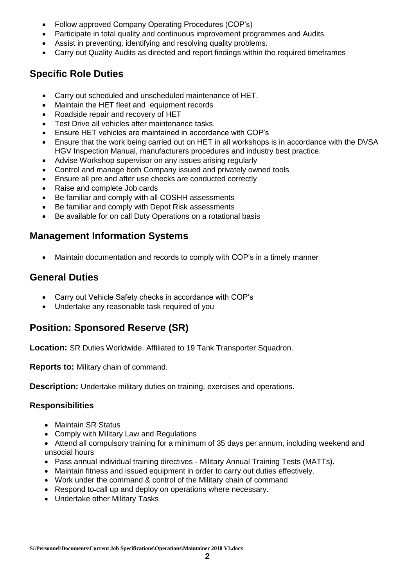- Follow approved Company Operating Procedures (COP's)
- Participate in total quality and continuous improvement programmes and Audits.
- Assist in preventing, identifying and resolving quality problems.
- Carry out Quality Audits as directed and report findings within the required timeframes

## **Specific Role Duties**

- Carry out scheduled and unscheduled maintenance of HET.
- Maintain the HET fleet and equipment records
- Roadside repair and recovery of HET
- Test Drive all vehicles after maintenance tasks.
- Ensure HET vehicles are maintained in accordance with COP's
- Ensure that the work being carried out on HET in all workshops is in accordance with the DVSA HGV Inspection Manual, manufacturers procedures and industry best practice.
- Advise Workshop supervisor on any issues arising regularly
- Control and manage both Company issued and privately owned tools
- Ensure all pre and after use checks are conducted correctly
- Raise and complete Job cards
- Be familiar and comply with all COSHH assessments
- Be familiar and comply with Depot Risk assessments
- Be available for on call Duty Operations on a rotational basis

## **Management Information Systems**

Maintain documentation and records to comply with COP's in a timely manner

### **General Duties**

- Carry out Vehicle Safety checks in accordance with COP's
- Undertake any reasonable task required of you

# **Position: Sponsored Reserve (SR)**

**Location:** SR Duties Worldwide. Affiliated to 19 Tank Transporter Squadron.

**Reports to:** Military chain of command.

**Description:** Undertake military duties on training, exercises and operations.

### **Responsibilities**

- Maintain SR Status
- Comply with Military Law and Regulations
- Attend all compulsory training for a minimum of 35 days per annum, including weekend and unsocial hours
- Pass annual individual training directives Military Annual Training Tests (MATTs).
- Maintain fitness and issued equipment in order to carry out duties effectively.
- Work under the command & control of the Military chain of command
- Respond to-call up and deploy on operations where necessary.
- Undertake other Military Tasks